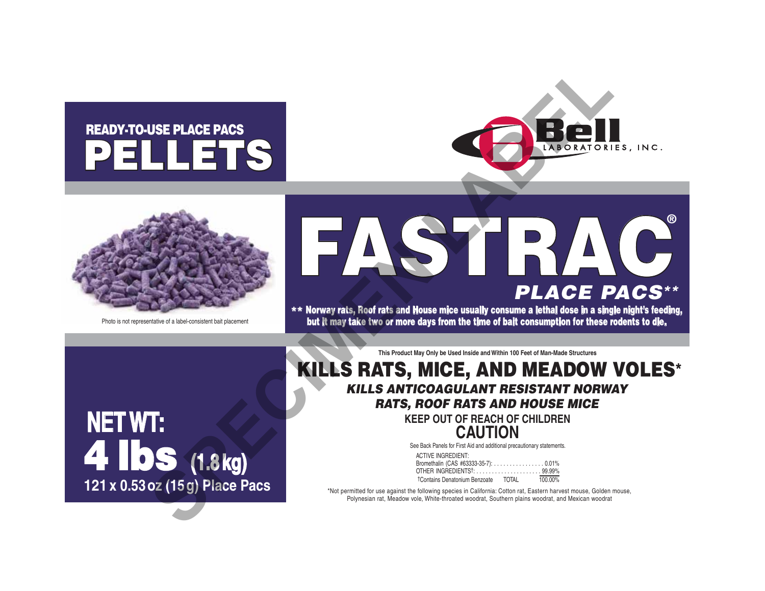# PELLETS READY-TO-USE PLACE PACS





# FASTRAC**®** *PLACE PACS\*\** USE PLACE PACS<br> **SPECIES AND READ CONSULTS AND READ ON PLACE P**<br>
PLACE P<br>
MATS, MICE, AND MEADOW<br>
KILLS ANTICOAGULANT RESISTANT NORW<br>
RATS, MICE, AND MEADOW<br>
RATS, ROOF RATS AND HOUSE MICHAEL BOOK<br>
KILLS ANTICOAGULANT RESI

\*\* Norway rats, Roof rats and House mice usually consume a lethal dose in a single night's feeding, Photo is not representative of a label-consistent bait placement **but it may take two or more days from the time of bait consumption for these rodents to die.** 

**NET WT:** 4 lbs **(1.8 kg) 121 x 0.53 oz (15 g) Place Pacs** **This Product May Only be Used Inside and Within 100 Feet of Man-Made Structures**

# KILLS RATS, MICE, AND MEADOW VOLES\* *KILLS ANTICOAGULANT RESISTANT NORWAY RATS, ROOF RATS AND HOUSE MICE*

**KEEP OUT OF REACH OF CHILDREN CAUTION**

See Back Panels for First Aid and additional precautionary statements.

| <b>ACTIVE INGREDIENT:</b>                 |       |         |
|-------------------------------------------|-------|---------|
|                                           |       |         |
| OTHER INGREDIENTS <sup>†</sup> : 99.99%   |       |         |
| <sup>†</sup> Contains Denatonium Benzoate | TOTAI | 100.00% |

\*Not permitted for use against the following species in California: Cotton rat, Eastern harvest mouse, Golden mouse, Polynesian rat, Meadow vole, White-throated woodrat, Southern plains woodrat, and Mexican woodrat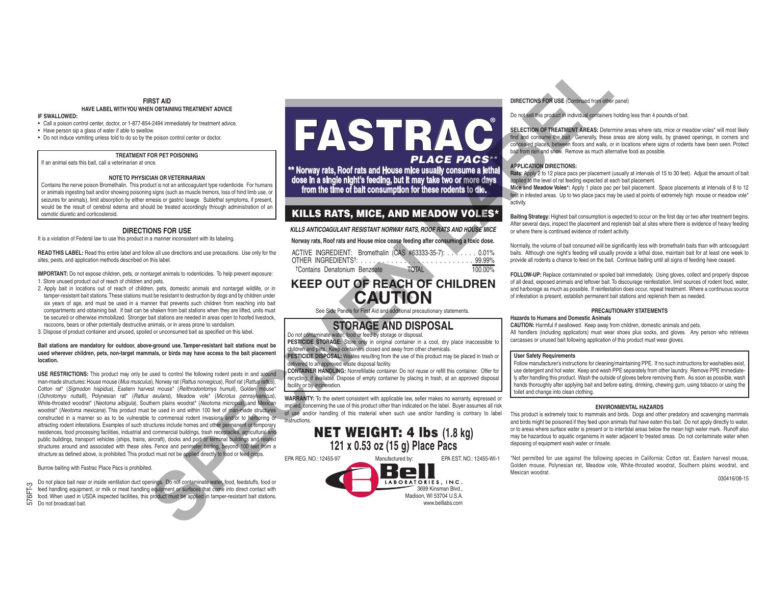#### **FIRST AID HAVE LABEL WITH YOU WHEN OBTAINING TREATMENT ADVICE**

#### **IF SWALLOWED:**

• Call a poison control center, doctor, or 1-877-854-2494 immediately for treatment advice.

• Have person sip a glass of water if able to swallow.

• Do not induce vomiting unless told to do so by the poison control center or doctor.

#### **TREATMENT FOR PET POISONING**

If an animal eats this bait, call a veterinarian at once.

#### **NOTE TO PHYSICIAN OR VETERINARIAN**

Contains the nerve poison Bromethalin. This product is not an anticoagulant type rodenticide. For humans or animals ingesting bait and/or showing poisoning signs (such as muscle tremors, loss of hind limb use, or seizures for animals), limit absorption by either emesis or gastric lavage. Sublethal symptoms, if present, would be the result of cerebral edema and should be treated accordingly through administration of an osmotic diuretic and corticosteroid.

#### **DIRECTIONS FOR USE**

It is a violation of Federal law to use this product in a manner inconsistent with its labeling.

**READ THIS LABEL:** Read this entire label and follow all use directions and use precautions. Use only for the sites, pests, and application methods described on this label.

**IMPORTANT:** Do not expose children, pets, or nontarget animals to rodenticides. To help prevent exposure: 1. Store unused product out of reach of children and pets.

- 2. Apply bait in locations out of reach of children, pets, domestic animals and nontarget wildlife, or in tamper-resistant bait stations. These stations must be resistant to destruction by dogs and by children under six years of age, and must be used in a manner that prevents such children from reaching into bait compartments and obtaining bait. If bait can be shaken from bait stations when they are lifted, units must be secured or otherwise immobilized. Stronger bait stations are needed in areas open to hoofed livestock, raccoons, bears or other potentially destructive animals, or in areas prone to vandalism.
- 3. Dispose of product container and unused, spoiled or unconsumed bait as specified on this label.

#### **Bait stations are mandatory for outdoor, above-ground use. Tamper-resistant bait stations must be used wherever children, pets, non-target mammals, or birds may have access to the bait placement location.**

**USE RESTRICTIONS:** This product may only be used to control the following rodent pests in and around man-made structures: House mouse (*Mus musculus*), Norway rat (*Rattus norvegicus*), Roof rat (*Rattus rattus*), Cotton rat\* (*Sigmodon hispidus*), Eastern harvest mouse\* (*Reithrodontomys humuli*), Golden mouse\* (*Ochrotomys nuttalli*), Polynesian rat\* (*Rattus exulans*), Meadow vole\* (*Microtus pennsylvanicus*), White-throated woodrat\* (*Neotoma albigula*), Southern plains woodrat\* (*Neotoma micropus*), and Mexican woodrat\* (*Neotoma mexicana*). This product must be used in and within 100 feet of man-made structures constructed in a manner so as to be vulnerable to commensal rodent invasions and/or to harboring or attracting rodent infestations. Examples of such structures include homes and other permanent or temporary residences, food processing facilities, industrial and commercial buildings, trash receptacles, agricultural and public buildings, transport vehicles (ships, trains, aircraft), docks and port or terminal buildings and related structures around and associated with these sites. Fence and perimeter baiting, beyond 100 feet from a structure as defined above, is prohibited. This product must not be applied directly to food or feed crops. **SPECIES TRACE AND DEPOSITED SPECIES AND DEPOSITED SPECIES AND DEPOSITED SPECIES AND DEPOSITED SPECIES AND DEPOSITED SPECIES AND DEPOSITED SPECIES AND DEPOSITED SPECIES AND DEPOSITED SPECIES AND DEPOSITED SPECIES AND DEPOS** 

Burrow baiting with Fastrac Place Pacs is prohibited.

Do not place bait near or inside ventilation duct openings. Do not contaminate water, food, feedstuffs, food or feed handling equipment, or milk or meat handling equipment or surfaces that come into direct contact with

- food. When used in USDA inspected facilities, this product must be applied in tamper-resistant bait stations.
- $\frac{1}{2}$  feed handling equipments food. When used in U.<br>To Do not broadcast bait.

# FASTRAC**®** *PLACE PACS\*\**

**\*\* Norway rats, Roof rats and House mice usually consume a lethal dose in a single night's feeding, but it may take two or more days from the time of bait consumption for these rodents to die.**

## KILLS RATS, MICE, AND MEADOW VOLES\*

*KILLS ANTICOAGULANT RESISTANT NORWAY RATS, ROOF RATS AND HOUSE MICE*

**Norway rats, Roof rats and House mice cease feeding after consuming a toxic dose.** 

| ACTIVE INGREDIENT: Bromethalin (CAS #63333-35-7): 0.01% |              |         |
|---------------------------------------------------------|--------------|---------|
|                                                         |              |         |
| <sup>†</sup> Contains Denatonium Benzoate               | <b>TOTAL</b> | 100.00% |

# **KEEP OUT OF REACH OF CHILDREN CAUTION**

See Side Panels for First Aid and additional precautionary statements.

# **STORAGE AND DISPOSAL**

Do not contaminate water, food or feed by storage or disposal.

PESTICIDE STORAGE: Store only in original container in a cool, dry place inaccessible to children and pets. Keep containers closed and away from other chemicals. **PESTICIDE DISPOSAL:** Wastes resulting from the use of this product may be placed in trash or

delivered to an approved waste disposal facility.

**CONTAINER HANDLING:** Nonrefillable container. Do not reuse or refill this container. Offer for recycling, if available. Dispose of empty container by placing in trash, at an approved disposal facility or by incineration.

WARRANTY: To the extent consistent with applicable law, seller makes no warranty, expressed or implied, concerning the use of this product other than indicated on the label. Buyer assumes all risk of use and/or handling of this material when such use and/or handling is contrary to label instructions.



EPA REG. NO.: 12455-97 Manufactured by: EPA EST. NO.: 12455-WI-1



#### **DIRECTIONS FOR USE** (Continued from other panel)

Do not sell this product in individual containers holding less than 4 pounds of bait.

SELECTION OF TREATMENT AREAS: Determine areas where rats, mice or meadow voles<sup>\*</sup> will most likely find and consume the bait. Generally, these areas are along walls, by gnawed openings, in corners and concealed places, between floors and walls, or in locations where signs of rodents have been seen. Protect bait from rain and snow. Remove as much alternative food as possible.

#### **APPLICATION DIRECTIONS:**

**Rats:** Apply 2 to 12 place pacs per placement (usually at intervals of 15 to 30 feet). Adjust the amount of bait applied to the level of rat feeding expected at each bait placement.

**Mice and Meadow Voles\*:** Apply 1 place pac per bait placement. Space placements at intervals of 8 to 12 feet in infested areas. Up to two place pacs may be used at points of extremely high mouse or meadow vole\* activity.

**Baiting Strategy:** Highest bait consumption is expected to occur on the first day or two after treatment begins. After several days, inspect the placement and replenish bait at sites where there is evidence of heavy feeding or where there is continued evidence of rodent activity.

Normally, the volume of bait consumed will be significantly less with bromethalin baits than with anticoagulant baits. Although one night's feeding will usually provide a lethal dose, maintain bait for at least one week to provide all rodents a chance to feed on the bait. Continue baiting until all signs of feeding have ceased.

FOLLOW-UP: Replace contaminated or spoiled bait immediately. Using gloves, collect and properly dispose of all dead, exposed animals and leftover bait. To discourage reinfestation, limit sources of rodent food, water, and harborage as much as possible. If reinfestation does occur, repeat treatment. Where a continuous source of infestation is present, establish permanent bait stations and replenish them as needed.

#### **PRECAUTIONARY STATEMENTS**

#### **Hazards to Humans and Domestic Animals**

**CAUTION:** Harmful if swallowed. Keep away from children, domestic animals and pets. All handlers (including applicators) must wear shoes plus socks, and gloves. Any person who retrieves carcasses or unused bait following application of this product must wear gloves.

#### **User Safety Requirements**

Follow manufacturer's instructions for cleaning/maintaining PPE. If no such instructions for washables exist, use detergent and hot water. Keep and wash PPE separately from other laundry. Remove PPE immediately after handling this product. Wash the outside of gloves before removing them. As soon as possible, wash hands thoroughly after applying bait and before eating, drinking, chewing gum, using tobacco or using the toilet and change into clean clothing.

#### **ENVIRONMENTAL HAZARDS**

This product is extremely toxic to mammals and birds. Dogs and other predatory and scavenging mammals and birds might be poisoned if they feed upon animals that have eaten this bait. Do not apply directly to water, or to areas where surface water is present or to intertidal areas below the mean high water mark. Runoff also may be hazardous to aquatic organisms in water adjacent to treated areas. Do not contaminate water when disposing of equipment wash water or rinsate.

\*Not permitted for use against the following species in California: Cotton rat, Eastern harvest mouse, Golden mouse, Polynesian rat, Meadow vole, White-throated woodrat, Southern plains woodrat, and Mexican woodrat.

030416/08-15